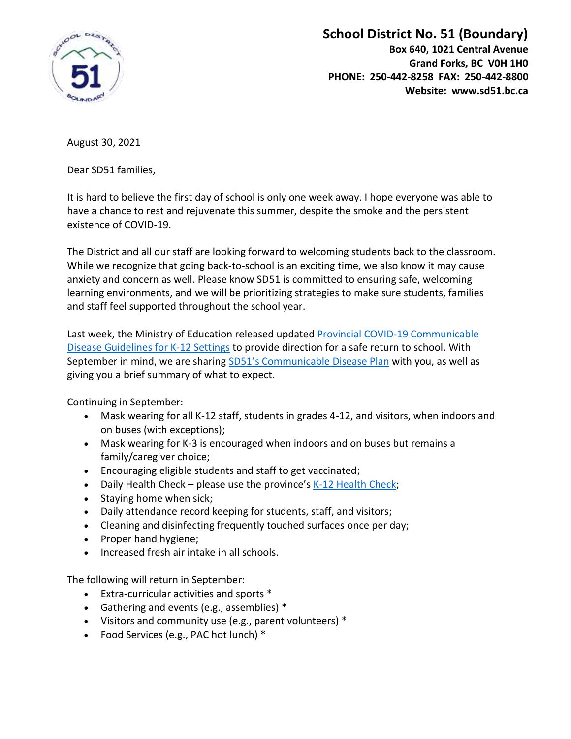

## **School District No. 51 (Boundary)**

**Box 640, 1021 Central Avenue Grand Forks, BC V0H 1H0 PHONE: 250-442-8258 FAX: 250-442-8800 Website: www.sd51.bc.ca**

August 30, 2021

Dear SD51 families,

It is hard to believe the first day of school is only one week away. I hope everyone was able to have a chance to rest and rejuvenate this summer, despite the smoke and the persistent existence of COVID-19.

The District and all our staff are looking forward to welcoming students back to the classroom. While we recognize that going back-to-school is an exciting time, we also know it may cause anxiety and concern as well. Please know SD51 is committed to ensuring safe, welcoming learning environments, and we will be prioritizing strategies to make sure students, families and staff feel supported throughout the school year.

Last week, the Ministry of Education released updated [Provincial COVID-19 Communicable](https://www2.gov.bc.ca/assets/gov/education/administration/kindergarten-to-grade-12/safe-caring-orderly/k-12-covid-19-health-safety-guidlines.pdf)  [Disease Guidelines for K-12 Settings](https://www2.gov.bc.ca/assets/gov/education/administration/kindergarten-to-grade-12/safe-caring-orderly/k-12-covid-19-health-safety-guidlines.pdf) to provide direction for a safe return to school. With September in mind, we are sharing SD51's [Communicable Disease Plan](https://www.sd51.bc.ca/wp-content/uploads/SD-51-Health-and-Safety-Guidelines-August-2021_mbal_cw.pdf) with you, as well as giving you a brief summary of what to expect.

Continuing in September:

- Mask wearing for all K-12 staff, students in grades 4-12, and visitors, when indoors and on buses (with exceptions);
- Mask wearing for K-3 is encouraged when indoors and on buses but remains a family/caregiver choice;
- Encouraging eligible students and staff to get vaccinated;
- Daily Health Check please use the province's  $K-12$  Health Check;
- Staying home when sick;
- Daily attendance record keeping for students, staff, and visitors;
- Cleaning and disinfecting frequently touched surfaces once per day;
- Proper hand hygiene;
- Increased fresh air intake in all schools.

The following will return in September:

- Extra-curricular activities and sports \*
- Gathering and events (e.g., assemblies) \*
- Visitors and community use (e.g., parent volunteers) \*
- Food Services (e.g., PAC hot lunch) \*